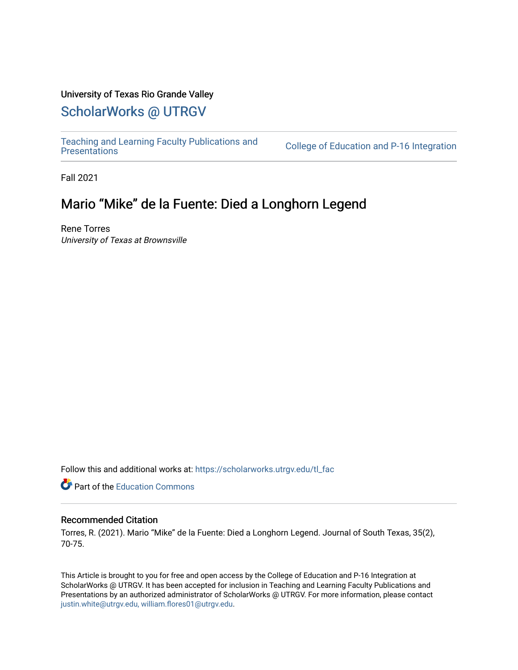### University of Texas Rio Grande Valley

# [ScholarWorks @ UTRGV](https://scholarworks.utrgv.edu/)

[Teaching and Learning Faculty Publications and](https://scholarworks.utrgv.edu/tl_fac) 

College of Education and P-16 Integration

Fall 2021

## Mario "Mike" de la Fuente: Died a Longhorn Legend

Rene Torres University of Texas at Brownsville

Follow this and additional works at: [https://scholarworks.utrgv.edu/tl\\_fac](https://scholarworks.utrgv.edu/tl_fac?utm_source=scholarworks.utrgv.edu%2Ftl_fac%2F70&utm_medium=PDF&utm_campaign=PDFCoverPages)

**C** Part of the [Education Commons](http://network.bepress.com/hgg/discipline/784?utm_source=scholarworks.utrgv.edu%2Ftl_fac%2F70&utm_medium=PDF&utm_campaign=PDFCoverPages)

#### Recommended Citation

Torres, R. (2021). Mario "Mike" de la Fuente: Died a Longhorn Legend. Journal of South Texas, 35(2), 70-75.

This Article is brought to you for free and open access by the College of Education and P-16 Integration at ScholarWorks @ UTRGV. It has been accepted for inclusion in Teaching and Learning Faculty Publications and Presentations by an authorized administrator of ScholarWorks @ UTRGV. For more information, please contact [justin.white@utrgv.edu, william.flores01@utrgv.edu](mailto:justin.white@utrgv.edu,%20william.flores01@utrgv.edu).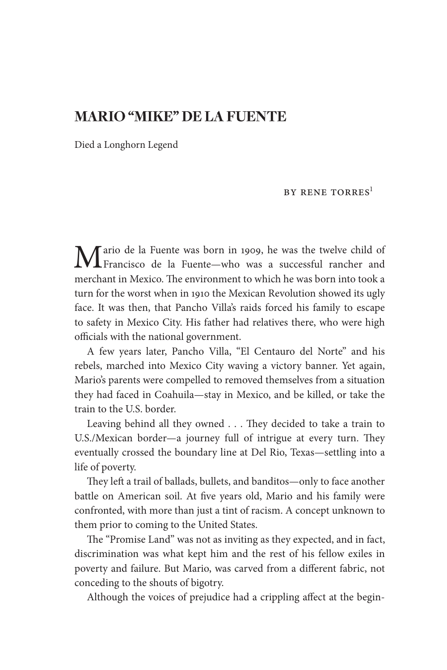### **MARIO "MIKE" DE LA FUENTE**

Died a Longhorn Legend

#### BY RENE TORRES<sup>1</sup>

Mario de la Fuente was born in 1909, he was the twelve child of Francisco de la Fuente— who was a successful rancher and merchant in Mexico. The environment to which he was born into took a turn for the worst when in 1910 the Mexican Revolution showed its ugly face. It was then, that Pancho Villa's raids forced his family to escape to safety in Mexico City. His father had relatives there, who were high officials with the national government.

A few years later, Pancho Villa, "El Centauro del Norte" and his rebels, marched into Mexico City waving a victory banner. Yet again, Mario's parents were compelled to removed themselves from a situation they had faced in Coahuila— stay in Mexico, and be killed, or take the train to the U.S. border.

Leaving behind all they owned . . . They decided to take a train to U.S./Mexican border—a journey full of intrigue at every turn. They eventually crossed the boundary line at Del Rio, Texas— settling into a life of poverty.

They left a trail of ballads, bullets, and banditos—only to face another battle on American soil. At five years old, Mario and his family were confronted, with more than just a tint of racism. A concept unknown to them prior to coming to the United States.

The "Promise Land" was not as inviting as they expected, and in fact, discrimination was what kept him and the rest of his fellow exiles in poverty and failure. But Mario, was carved from a different fabric, not conceding to the shouts of bigotry.

Although the voices of prejudice had a crippling affect at the begin-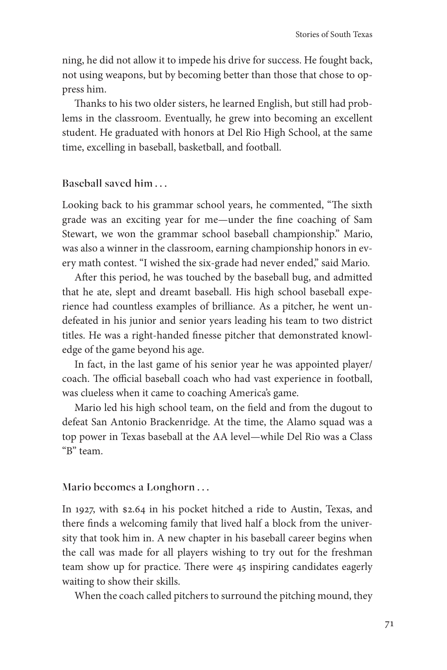ning, he did not allow it to impede his drive for success. He fought back, not using weapons, but by becoming better than those that chose to oppress him.

Thanks to his two older sisters, he learned English, but still had problems in the classroom. Eventually, he grew into becoming an excellent student. He graduated with honors at Del Rio High School, at the same time, excelling in baseball, basketball, and football.

**Baseball saved him . . .** 

Looking back to his grammar school years, he commented, "The sixth grade was an exciting year for me—under the fine coaching of Sam Stewart, we won the grammar school baseball championship." Mario, was also a winner in the classroom, earning championship honors in every math contest. "I wished the six- grade had never ended," said Mario.

After this period, he was touched by the baseball bug, and admitted that he ate, slept and dreamt baseball. His high school baseball experience had countless examples of brilliance. As a pitcher, he went undefeated in his junior and senior years leading his team to two district titles. He was a right-handed finesse pitcher that demonstrated knowledge of the game beyond his age.

In fact, in the last game of his senior year he was appointed player/ coach. The official baseball coach who had vast experience in football, was clueless when it came to coaching America's game.

Mario led his high school team, on the field and from the dugout to defeat San Antonio Brackenridge. At the time, the Alamo squad was a top power in Texas baseball at the AA level— while Del Rio was a Class "B" team.

**Mario becomes a Longhorn . . .** 

In 1927, with \$2.64 in his pocket hitched a ride to Austin, Texas, and there finds a welcoming family that lived half a block from the university that took him in. A new chapter in his baseball career begins when the call was made for all players wishing to try out for the freshman team show up for practice. There were 45 inspiring candidates eagerly waiting to show their skills.

When the coach called pitchers to surround the pitching mound, they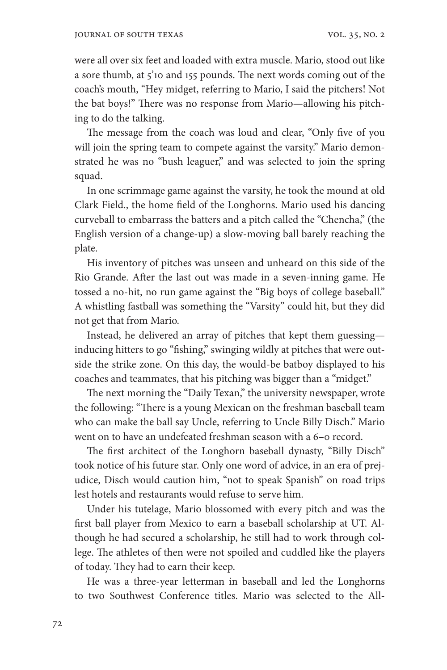were all over six feet and loaded with extra muscle. Mario, stood out like a sore thumb, at 5'10 and 155 pounds. The next words coming out of the coach's mouth, "Hey midget, referring to Mario, I said the pitchers! Not the bat boys!" There was no response from Mario-allowing his pitching to do the talking.

The message from the coach was loud and clear, "Only five of you will join the spring team to compete against the varsity." Mario demonstrated he was no "bush leaguer," and was selected to join the spring squad.

In one scrimmage game against the varsity, he took the mound at old Clark Field., the home field of the Longhorns. Mario used his dancing curveball to embarrass the batters and a pitch called the "Chencha," (the English version of a change- up) a slow- moving ball barely reaching the plate.

His inventory of pitches was unseen and unheard on this side of the Rio Grande. After the last out was made in a seven-inning game. He tossed a no-hit, no run game against the "Big boys of college baseball." A whistling fastball was something the "Varsity" could hit, but they did not get that from Mario.

Instead, he delivered an array of pitches that kept them guessing inducing hitters to go "fishing," swinging wildly at pitches that were outside the strike zone. On this day, the would-be batboy displayed to his coaches and teammates, that his pitching was bigger than a "midget."

The next morning the "Daily Texan," the university newspaper, wrote the following: "There is a young Mexican on the freshman baseball team who can make the ball say Uncle, referring to Uncle Billy Disch." Mario went on to have an undefeated freshman season with a 6-o record.

The first architect of the Longhorn baseball dynasty, "Billy Disch" took notice of his future star. Only one word of advice, in an era of prejudice, Disch would caution him, "not to speak Spanish" on road trips lest hotels and restaurants would refuse to serve him.

Under his tutelage, Mario blossomed with every pitch and was the first ball player from Mexico to earn a baseball scholarship at UT. Although he had secured a scholarship, he still had to work through college. The athletes of then were not spoiled and cuddled like the players of today. They had to earn their keep.

He was a three- year letterman in baseball and led the Longhorns to two Southwest Conference titles. Mario was selected to the All-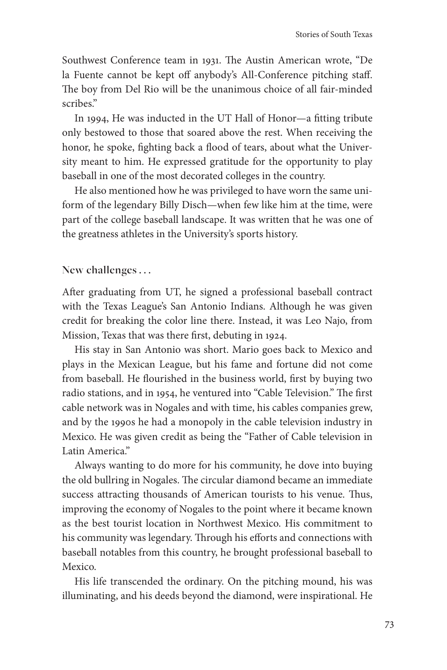Southwest Conference team in 1931. The Austin American wrote, "De la Fuente cannot be kept off anybody's All-Conference pitching staff. The boy from Del Rio will be the unanimous choice of all fair-minded scribes."

In 1994, He was inducted in the UT Hall of Honor—a fitting tribute only bestowed to those that soared above the rest. When receiving the honor, he spoke, fighting back a flood of tears, about what the University meant to him. He expressed gratitude for the opportunity to play baseball in one of the most decorated colleges in the country.

He also mentioned how he was privileged to have worn the same uniform of the legendary Billy Disch— when few like him at the time, were part of the college baseball landscape. It was written that he was one of the greatness athletes in the University's sports history.

**New challenges . . .** 

After graduating from UT, he signed a professional baseball contract with the Texas League's San Antonio Indians. Although he was given credit for breaking the color line there. Instead, it was Leo Najo, from Mission, Texas that was there first, debuting in 1924.

His stay in San Antonio was short. Mario goes back to Mexico and plays in the Mexican League, but his fame and fortune did not come from baseball. He flourished in the business world, first by buying two radio stations, and in 1954, he ventured into "Cable Television." The first cable network was in Nogales and with time, his cables companies grew, and by the 1990s he had a monopoly in the cable television industry in Mexico. He was given credit as being the "Father of Cable television in Latin America."

Always wanting to do more for his community, he dove into buying the old bullring in Nogales. The circular diamond became an immediate success attracting thousands of American tourists to his venue. Thus, improving the economy of Nogales to the point where it became known as the best tourist location in Northwest Mexico. His commitment to his community was legendary. Through his efforts and connections with baseball notables from this country, he brought professional baseball to Mexico.

His life transcended the ordinary. On the pitching mound, his was illuminating, and his deeds beyond the diamond, were inspirational. He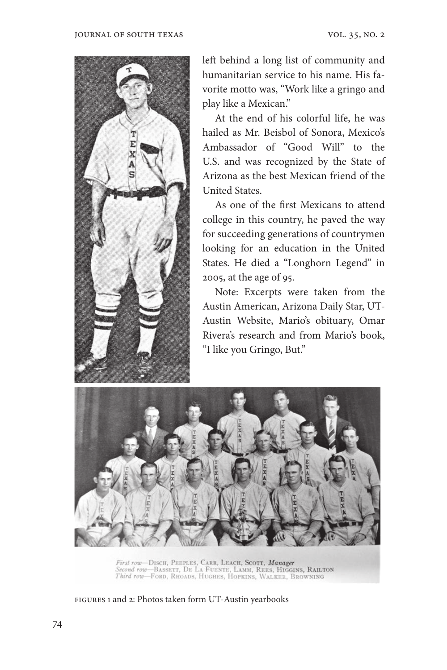

left behind a long list of community and humanitarian service to his name. His favorite motto was, "Work like a gringo and play like a Mexican."

At the end of his colorful life, he was hailed as Mr. Beisbol of Sonora, Mexico's Ambassador of "Good Will" to the U.S. and was recognized by the State of Arizona as the best Mexican friend of the United States.

As one of the first Mexicans to attend college in this country, he paved the way for succeeding generations of countrymen looking for an education in the United States. He died a "Longhorn Legend" in 2005, at the age of 95.

Note: Excerpts were taken from the Austin American, Arizona Daily Star, UT-Austin Website, Mario's obituary, Omar Rivera's research and from Mario's book, "I like you Gringo, But."



First row-Disch, Peeples, Carr, Leach, Scott, Manager<br>Second row-Bassett, De La Fuente, Lamm, Rees, Higgins, Railton<br>Third row-Ford, Rhoads, Hughes, Hopkins, Walker, Browning

Figures 1 and 2: Photos taken form UT- Austin yearbooks